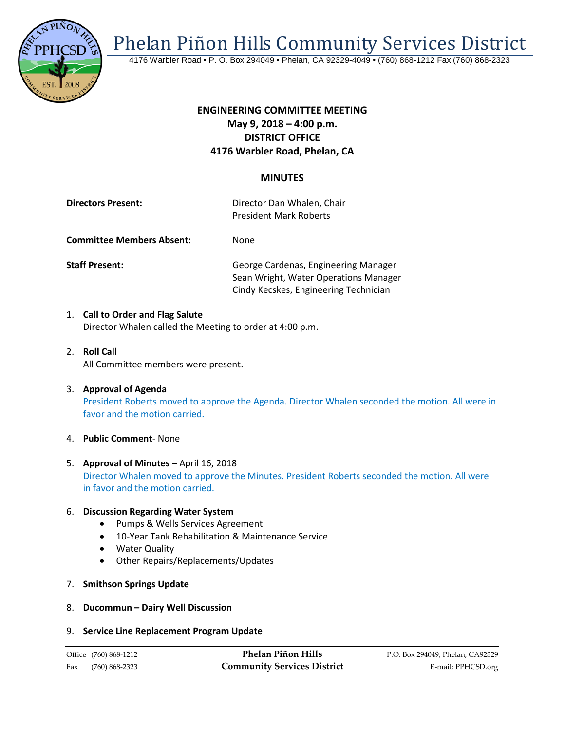

Phelan Piñon Hills Community Services District

4176 Warbler Road • P. O. Box 294049 • Phelan, CA 92329-4049 • (760) 868-1212 Fax (760) 868-2323

# **ENGINEERING COMMITTEE MEETING May 9, 2018 – 4:00 p.m. DISTRICT OFFICE 4176 Warbler Road, Phelan, CA**

## **MINUTES**

| <b>Directors Present:</b> | Director Dan Whalen, Chair    |
|---------------------------|-------------------------------|
|                           | <b>President Mark Roberts</b> |
|                           |                               |

**Committee Members Absent:** None

**Staff Present:** George Cardenas, Engineering Manager Sean Wright, Water Operations Manager Cindy Kecskes, Engineering Technician

- 1. **Call to Order and Flag Salute** Director Whalen called the Meeting to order at 4:00 p.m.
- 2. **Roll Call** All Committee members were present.
- 3. **Approval of Agenda** President Roberts moved to approve the Agenda. Director Whalen seconded the motion. All were in favor and the motion carried.
- 4. **Public Comment** None
- 5. **Approval of Minutes –** April 16, 2018 Director Whalen moved to approve the Minutes. President Roberts seconded the motion. All were in favor and the motion carried.

#### 6. **Discussion Regarding Water System**

- Pumps & Wells Services Agreement
- 10-Year Tank Rehabilitation & Maintenance Service
- Water Quality
- Other Repairs/Replacements/Updates
- 7. **Smithson Springs Update**
- 8. **Ducommun – Dairy Well Discussion**

#### 9. **Service Line Replacement Program Update**